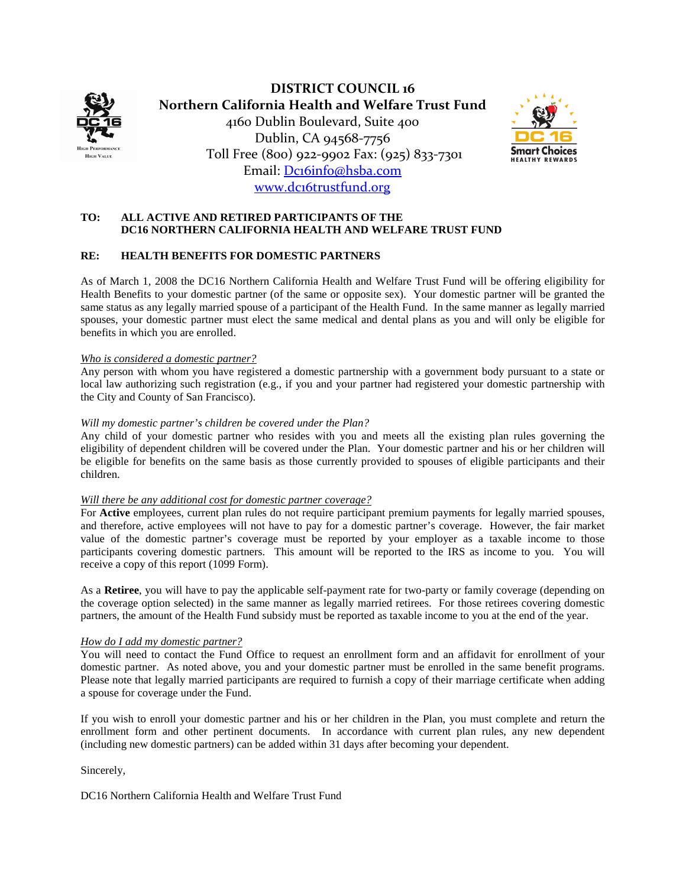

**DISTRICT COUNCIL 16 Northern California Health and Welfare Trust Fund**  4160 Dublin Boulevard, Suite 400 Dublin, CA 94568-7756 Toll Free (800) 922-9902 Fax: (925) 833-7301 Email: [Dc16info@hsba.com](mailto:Dc16info@hsba.com) [www.dc16trustfund.org](http://www.dc16trustfund.org/)



## **TO: ALL ACTIVE AND RETIRED PARTICIPANTS OF THE DC16 NORTHERN CALIFORNIA HEALTH AND WELFARE TRUST FUND**

#### **RE: HEALTH BENEFITS FOR DOMESTIC PARTNERS**

As of March 1, 2008 the DC16 Northern California Health and Welfare Trust Fund will be offering eligibility for Health Benefits to your domestic partner (of the same or opposite sex). Your domestic partner will be granted the same status as any legally married spouse of a participant of the Health Fund. In the same manner as legally married spouses, your domestic partner must elect the same medical and dental plans as you and will only be eligible for benefits in which you are enrolled.

#### *Who is considered a domestic partner?*

Any person with whom you have registered a domestic partnership with a government body pursuant to a state or local law authorizing such registration (e.g., if you and your partner had registered your domestic partnership with the City and County of San Francisco).

#### *Will my domestic partner's children be covered under the Plan?*

Any child of your domestic partner who resides with you and meets all the existing plan rules governing the eligibility of dependent children will be covered under the Plan. Your domestic partner and his or her children will be eligible for benefits on the same basis as those currently provided to spouses of eligible participants and their children.

#### *Will there be any additional cost for domestic partner coverage?*

For **Active** employees, current plan rules do not require participant premium payments for legally married spouses, and therefore, active employees will not have to pay for a domestic partner's coverage. However, the fair market value of the domestic partner's coverage must be reported by your employer as a taxable income to those participants covering domestic partners. This amount will be reported to the IRS as income to you. You will receive a copy of this report (1099 Form).

As a **Retiree**, you will have to pay the applicable self-payment rate for two-party or family coverage (depending on the coverage option selected) in the same manner as legally married retirees. For those retirees covering domestic partners, the amount of the Health Fund subsidy must be reported as taxable income to you at the end of the year.

## *How do I add my domestic partner?*

You will need to contact the Fund Office to request an enrollment form and an affidavit for enrollment of your domestic partner. As noted above, you and your domestic partner must be enrolled in the same benefit programs. Please note that legally married participants are required to furnish a copy of their marriage certificate when adding a spouse for coverage under the Fund.

If you wish to enroll your domestic partner and his or her children in the Plan, you must complete and return the enrollment form and other pertinent documents. In accordance with current plan rules, any new dependent (including new domestic partners) can be added within 31 days after becoming your dependent.

Sincerely,

DC16 Northern California Health and Welfare Trust Fund